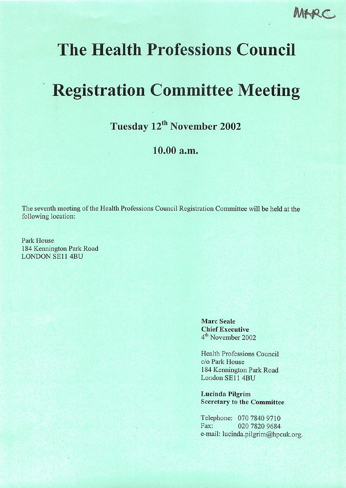MARC

## The Health Professions Council

# Registration Committee Meeting

Tuesday 12<sup>th</sup> November 2002

## 10.00 a.m.

The seventh meeting of the Health Professions Council Registration Committee will be held at the following location:

Park House 184 Kennington Park Road LONDON SE114BU

> Marc Seale Chief Executive 4<sup>th</sup> November 2002

Health Professions Council c/o Park House 184 Kennington Park Road London SE11 4BU

Lucinda Pilgrim Secretary to the Committee

Telephone: 070 7840 9710 Fax: 020 7820 9684 e-mail: lucinda.pilgrim@hpcuk.org.